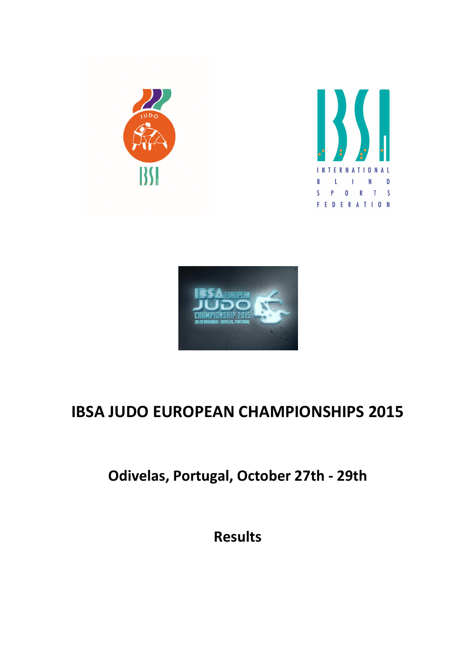





## IBSA JUDO EUROPEAN CHAMPIONSHIPS 2015

Odivelas, Portugal, October 27th - 29th

Results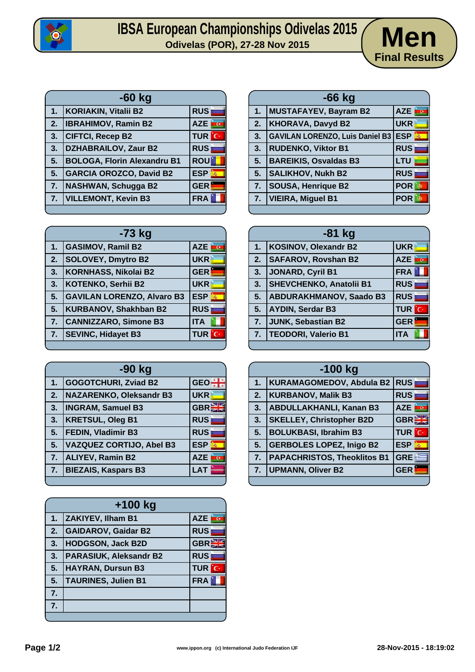

## **IBSA European Championships Odivelas 2015**<br>
Odivelas (POR), 27-28 Nov 2015<br>
Odivelas (POR), 27-28 Nov 2015



| $-60$ kg |                                    |              |
|----------|------------------------------------|--------------|
| 1.       | <b>KORIAKIN, Vitalii B2</b>        | <b>RUS</b>   |
| 2.       | <b>IBRAHIMOV, Ramin B2</b>         | <b>AZE</b>   |
| 3.       | <b>CIFTCI, Recep B2</b>            | <b>TUR</b> C |
| 3.       | <b>DZHABRAILOV, Zaur B2</b>        | <b>RUS</b>   |
| 5.       | <b>BOLOGA, Florin Alexandru B1</b> | <b>ROU</b>   |
| 5.       | <b>GARCIA OROZCO, David B2</b>     | <b>ESP</b>   |
| 7.       | <b>NASHWAN, Schugga B2</b>         | <b>GER</b>   |
| 7.       | <b>VILLEMONT, Kevin B3</b>         | <b>FRA</b>   |
|          |                                    |              |

| -73 kg |                                   |                           |
|--------|-----------------------------------|---------------------------|
| 1.     | <b>GASIMOV, Ramil B2</b>          | <b>AZE</b>                |
| 2.     | <b>SOLOVEY, Dmytro B2</b>         | <b>UKR</b>                |
| 3.     | KORNHASS, Nikolai B2              | <b>GER</b>                |
| 3.     | <b>KOTENKO, Serhii B2</b>         | <b>UKR</b>                |
| 5.     | <b>GAVILAN LORENZO, Alvaro B3</b> | <b>ESP</b><br>$\vec{m}_i$ |
| 5.     | <b>KURBANOV, Shakhban B2</b>      | <b>RUS</b>                |
| 7.     | <b>CANNIZZARO, Simone B3</b>      | <b>ITA</b>                |
| 7.     | <b>SEVINC, Hidayet B3</b>         | <b>TUR</b><br>G           |
|        |                                   |                           |

| -90 kg |                                 |                 |
|--------|---------------------------------|-----------------|
| 1.     | <b>GOGOTCHURI, Zviad B2</b>     | <b>GEO</b>      |
| 2.     | <b>NAZARENKO, Oleksandr B3</b>  | <b>UKR</b>      |
| 3.     | <b>INGRAM, Samuel B3</b>        | GBR             |
| 3.     | <b>KRETSUL, Oleg B1</b>         | <b>RUS</b>      |
| 5.     | <b>FEDIN, Vladimir B3</b>       | <b>RUS</b>      |
| 5.     | <b>VAZQUEZ CORTIJO, Abel B3</b> | <b>ESP</b><br>燕 |
| 7.     | <b>ALIYEV, Ramin B2</b>         | <b>AZE</b>      |
| 7.     | <b>BIEZAIS, Kaspars B3</b>      | <b>LAT</b>      |
|        |                                 |                 |

| $+100$ kg        |                               |            |
|------------------|-------------------------------|------------|
| 1.               | ZAKIYEV, Ilham B1             | <b>AZE</b> |
| $\overline{2}$ . | <b>GAIDAROV, Gaidar B2</b>    | <b>RUS</b> |
| 3.               | <b>HODGSON, Jack B2D</b>      | GBR        |
| 3.               | <b>PARASIUK, Aleksandr B2</b> | <b>RUS</b> |
| 5.               | <b>HAYRAN, Dursun B3</b>      | ÎС,<br>TUR |
| 5.               | <b>TAURINES, Julien B1</b>    | <b>FRA</b> |
| 7.               |                               |            |
| 7.               |                               |            |
|                  |                               |            |

|    | $-66$ kg                               |                    |
|----|----------------------------------------|--------------------|
| 1. | <b>MUSTAFAYEV, Bayram B2</b>           | AZE<br><u>inco</u> |
| 2. | <b>KHORAVA, Davyd B2</b>               | <b>UKR</b>         |
| 3. | <b>GAVILAN LORENZO, Luis Daniel B3</b> | <b>ESP</b><br>燕    |
| 3. | <b>RUDENKO, Viktor B1</b>              | <b>RUS</b>         |
| 5. | <b>BAREIKIS, Osvaldas B3</b>           | LTU                |
| 5. | <b>SALIKHOV, Nukh B2</b>               | <b>RUS</b>         |
| 7. | <b>SOUSA, Henrique B2</b>              | POR                |
| 7. | <b>VIEIRA, Miguel B1</b>               | <b>POR</b>         |
|    |                                        |                    |

| $-81$ kg |                                |                       |
|----------|--------------------------------|-----------------------|
| 1.       | KOSINOV, Olexandr B2           | <b>UKR</b>            |
| 2.       | <b>SAFAROV, Rovshan B2</b>     | <b>CONTROL</b><br>AZE |
| 3.       | JONARD, Cyril B1               | <b>FRA</b>            |
| 3.       | <b>SHEVCHENKO, Anatolii B1</b> | <b>RUS</b>            |
| 5.       | <b>ABDURAKHMANOV, Saado B3</b> | <b>RUS</b>            |
| 5.       | <b>AYDIN, Serdar B3</b>        | <b>TUR</b> C          |
| 7.       | JUNK, Sebastian B2             | <b>GER</b>            |
| 7.       | <b>TEODORI, Valerio B1</b>     | <b>ITA</b>            |
|          |                                |                       |

| $-100$ kg |                                    |                                       |
|-----------|------------------------------------|---------------------------------------|
| 1.        | KURAMAGOMEDOV, Abdula B2 RUS       |                                       |
| 2.        | <b>KURBANOV, Malik B3</b>          | <b>RUS</b>                            |
| 3.        | <b>ABDULLAKHANLI, Kanan B3</b>     | <b>AZE</b><br>$\overline{\mathbf{G}}$ |
| 3.        | <b>SKELLEY, Christopher B2D</b>    | <b>GBRET</b>                          |
| 5.        | <b>BOLUKBASI, Ibrahim B3</b>       | <b>TUR</b> C                          |
| 5.        | <b>GERBOLES LOPEZ, Inigo B2</b>    | <b>ESP</b><br>轟                       |
| 7.        | <b>PAPACHRISTOS, Theoklitos B1</b> | GRE <sup>E</sup>                      |
| 7.        | <b>UPMANN, Oliver B2</b>           | <b>GER</b>                            |
|           |                                    |                                       |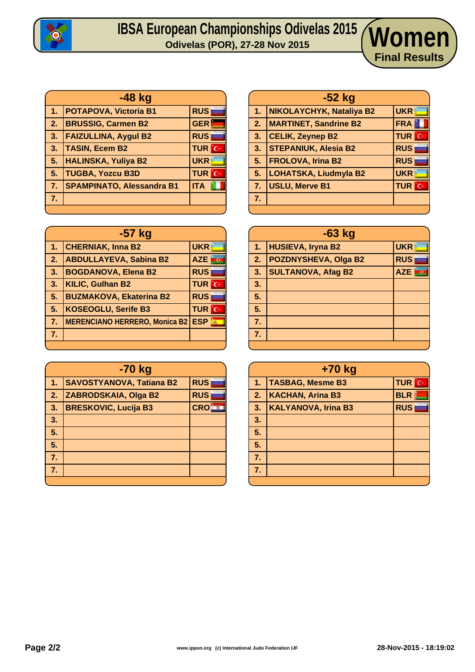

## **IBSA European Championships Odivelas 2015 Odivelas (POR), 27-28 Nov 2015 Women**

|                | $-48$ kg                         |              |
|----------------|----------------------------------|--------------|
| 1 <sub>1</sub> | <b>POTAPOVA, Victoria B1</b>     | <b>RUS</b>   |
| 2.             | <b>BRUSSIG, Carmen B2</b>        | <b>GER</b>   |
| 3.             | <b>FAIZULLINA, Aygul B2</b>      | <b>RUS</b>   |
| 3.             | <b>TASIN, Ecem B2</b>            | <b>TUR</b> C |
| 5.             | <b>HALINSKA, Yuliya B2</b>       | <b>UKR</b>   |
| 5.             | <b>TUGBA, Yozcu B3D</b>          | <b>TUR</b> C |
| 7 <sub>1</sub> | <b>SPAMPINATO, Alessandra B1</b> | <b>ITA</b>   |
| 7.             |                                  |              |
|                |                                  |              |

| -57 kg           |                                          |               |
|------------------|------------------------------------------|---------------|
| 1.               | <b>CHERNIAK, Inna B2</b>                 | <b>UKR</b>    |
| $\overline{2}$ . | <b>ABDULLAYEVA, Sabina B2</b>            | AZE <b>RG</b> |
| 3.               | <b>BOGDANOVA, Elena B2</b>               | <b>RUS</b>    |
| 3.               | <b>KILIC, Gulhan B2</b>                  | <b>TUR</b> C  |
| 5.               | <b>BUZMAKOVA, Ekaterina B2</b>           | <b>RUS</b>    |
| 5.               | <b>KOSEOGLU, Serife B3</b>               | <b>TUR</b> C  |
| 7 <sub>1</sub>   | <b>MERENCIANO HERRERO, Monica B2 ESP</b> |               |
| 7.               |                                          |               |
|                  |                                          |               |

| -70 kg |                                 |            |
|--------|---------------------------------|------------|
| 1.     | <b>SAVOSTYANOVA, Tatiana B2</b> | <b>RUS</b> |
| 2.     | ZABRODSKAIA, Olga B2            | <b>RUS</b> |
| 3.     | <b>BRESKOVIC, Lucija B3</b>     | <b>CRO</b> |
| 3.     |                                 |            |
| 5.     |                                 |            |
| 5.     |                                 |            |
| 7.     |                                 |            |
| 7.     |                                 |            |
|        |                                 |            |

| $-52$ kg |                              |              |
|----------|------------------------------|--------------|
| 1.       | NIKOLAYCHYK, Nataliya B2     | <b>UKR</b>   |
| 2.7      | <b>MARTINET, Sandrine B2</b> | <b>FRA</b>   |
| 3.       | <b>CELIK, Zeynep B2</b>      | <b>TUR</b> C |
| 3.       | <b>STEPANIUK, Alesia B2</b>  | <b>RUS</b>   |
| 5.       | <b>FROLOVA, Irina B2</b>     | <b>RUS</b>   |
| 5.       | LOHATSKA, Liudmyla B2        | <b>UKR</b>   |
| 7.       | <b>USLU, Merve B1</b>        | <b>TUR</b> C |
| 7.       |                              |              |
|          |                              |              |

**Final Results**

| $-63$ kg       |                             |                          |
|----------------|-----------------------------|--------------------------|
| 1 <sub>1</sub> | HUSIEVA, Iryna B2           | <b>UKR</b>               |
| 2.             | <b>POZDNYSHEVA, Olga B2</b> | <b>RUS</b>               |
| 3.             | <b>SULTANOVA, Afag B2</b>   | <b>AZE</b><br><b>I</b> G |
| 3.             |                             |                          |
| 5.             |                             |                          |
| 5.             |                             |                          |
| 7.             |                             |                          |
| 7.             |                             |                          |
|                |                             |                          |

| $+70$ kg |                            |              |  |  |  |  |
|----------|----------------------------|--------------|--|--|--|--|
| 47       | <b>TASBAG, Mesme B3</b>    | <b>TUR</b> C |  |  |  |  |
| 2.       | <b>KACHAN, Arina B3</b>    | <b>BLR</b>   |  |  |  |  |
| 3.       | <b>KALYANOVA, Irina B3</b> | <b>RUS</b>   |  |  |  |  |
| 3.       |                            |              |  |  |  |  |
| 5.       |                            |              |  |  |  |  |
| 5.       |                            |              |  |  |  |  |
| 7.       |                            |              |  |  |  |  |
| 7.       |                            |              |  |  |  |  |
|          |                            |              |  |  |  |  |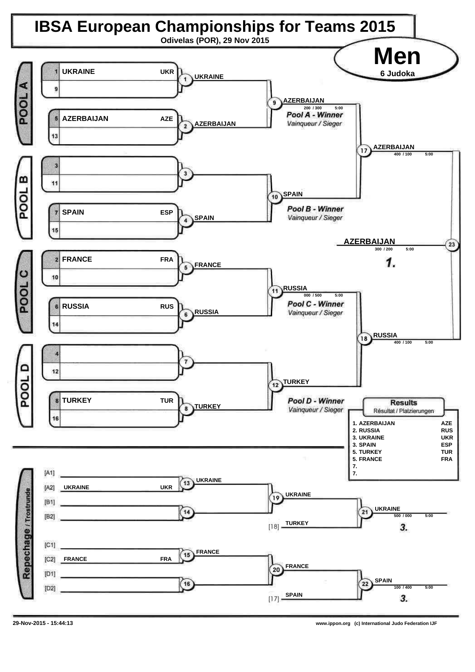